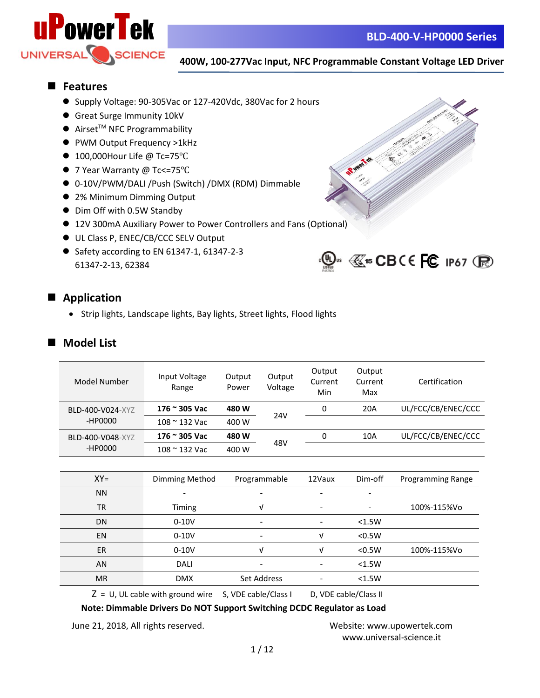

## ■ **Features**

- Supply Voltage: 90-305Vac or 127-420Vdc, 380Vac for 2 hours
- ⚫ Great Surge Immunity 10kV
- $\bullet$  Airset<sup>™</sup> NFC Programmability
- ⚫ PWM Output Frequency >1kHz
- 100,000Hour Life @ Tc=75°C
- ⚫ 7 Year Warranty @ Tc<=75℃
- 0-10V/PWM/DALI /Push (Switch) /DMX (RDM) Dimmable
- 2% Minimum Dimming Output
- Dim Off with 0.5W Standby
- 12V 300mA Auxiliary Power to Power Controllers and Fans (Optional)
- UL Class P, ENEC/CB/CCC SELV Output
- Safety according to EN 61347-1, 61347-2-3 61347-2-13, 62384





## ■ Application

• Strip lights, Landscape lights, Bay lights, Street lights, Flood lights

## ■ Model List

| Model Number                | Input Voltage<br>Range | Output<br>Power | Output<br>Voltage | Output<br>Current<br>Min | Output<br>Current<br>Max | Certification      |
|-----------------------------|------------------------|-----------------|-------------------|--------------------------|--------------------------|--------------------|
| BLD-400-V024-XYZ<br>-HP0000 | 176 ~ 305 Vac          | 480 W           | 24V               | 0                        | 20A                      | UL/FCC/CB/ENEC/CCC |
|                             | $108 \approx 132$ Vac  | 400 W           |                   |                          |                          |                    |
| BLD-400-V048-XYZ<br>-HP0000 | 176 ~ 305 Vac          | 480 W           | 48V               | 0                        | 10A                      | UL/FCC/CB/ENEC/CCC |
|                             | $108 \approx 132$ Vac  | 400 W           |                   |                          |                          |                    |
|                             |                        |                 |                   |                          |                          |                    |

| $XY =$                                                                                                                                                     | Dimming Method | Programmable             | 12Vaux                   | Dim-off | Programming Range |
|------------------------------------------------------------------------------------------------------------------------------------------------------------|----------------|--------------------------|--------------------------|---------|-------------------|
| <b>NN</b>                                                                                                                                                  |                | $\overline{\phantom{a}}$ | $\overline{\phantom{a}}$ |         |                   |
| <b>TR</b>                                                                                                                                                  | Timing         |                          |                          |         | 100%-115%Vo       |
| DN                                                                                                                                                         | $0-10V$        | $\overline{\phantom{0}}$ | $\overline{\phantom{a}}$ | < 1.5W  |                   |
| EN                                                                                                                                                         | $0-10V$        | $\overline{\phantom{0}}$ | ν                        | < 0.5W  |                   |
| <b>ER</b>                                                                                                                                                  | $0-10V$        |                          | v                        | < 0.5W  | 100%-115%Vo       |
| AN                                                                                                                                                         | DALI           |                          |                          | < 1.5W  |                   |
| <b>MR</b>                                                                                                                                                  | <b>DMX</b>     | Set Address              | $\overline{\phantom{0}}$ | < 1.5W  |                   |
| -<br>그 아이들은 그 사람들은 그 사람들은 그 사람들을 지르며 그 사람들을 지르며 그 사람들을 지르며 그 사람들을 지르며 그 사람들을 지르며 그 사람들을 지르며 그 사람들을 지르며 그 사람들을 지르며 그<br>the contract of the contract of the |                |                          |                          |         |                   |

 $Z = U$ , UL cable with ground wire S, VDE cable/Class I D, VDE cable/Class II

**Note: Dimmable Drivers Do NOT Support Switching DCDC Regulator as Load**

June 21, 2018, All rights reserved. Website: [www.upowertek.com](http://www.upowertek.com/)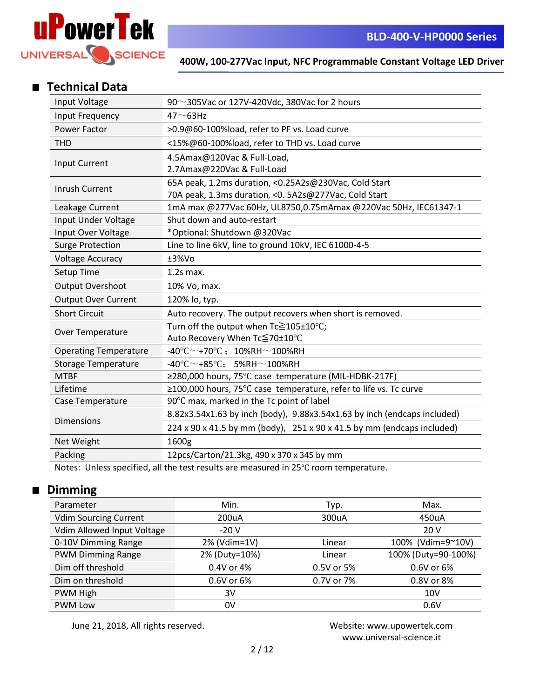

## ■ **Technical Data**

| Input Voltage                | 90 $\sim$ 305Vac or 127V-420Vdc, 380Vac for 2 hours                                            |  |  |
|------------------------------|------------------------------------------------------------------------------------------------|--|--|
| Input Frequency              | $47 \sim 63$ Hz                                                                                |  |  |
| Power Factor                 | >0.9@60-100%load, refer to PF vs. Load curve                                                   |  |  |
| <b>THD</b>                   | <15%@60-100%load, refer to THD vs. Load curve                                                  |  |  |
| <b>Input Current</b>         | 4.5Amax@120Vac & Full-Load,                                                                    |  |  |
|                              | 2.7Amax@220Vac & Full-Load                                                                     |  |  |
| Inrush Current               | 65A peak, 1.2ms duration, <0.25A2s@230Vac, Cold Start                                          |  |  |
|                              | 70A peak, 1.3ms duration, < 0. 5A2s@277Vac, Cold Start                                         |  |  |
| Leakage Current              | 1mA max @277Vac 60Hz, UL8750,0.75mAmax @220Vac 50Hz, IEC61347-1                                |  |  |
| Input Under Voltage          | Shut down and auto-restart                                                                     |  |  |
| Input Over Voltage           | *Optional: Shutdown @320Vac                                                                    |  |  |
| <b>Surge Protection</b>      | Line to line 6kV, line to ground 10kV, IEC 61000-4-5                                           |  |  |
| <b>Voltage Accuracy</b>      | ±3%Vo                                                                                          |  |  |
| Setup Time                   | $1.2s$ max.                                                                                    |  |  |
| <b>Output Overshoot</b>      | 10% Vo, max.                                                                                   |  |  |
| <b>Output Over Current</b>   | 120% lo, typ.                                                                                  |  |  |
| <b>Short Circuit</b>         | Auto recovery. The output recovers when short is removed.                                      |  |  |
| Over Temperature             | Turn off the output when Tc≧105±10°C;                                                          |  |  |
|                              | Auto Recovery When Tc≦70±10°C                                                                  |  |  |
| <b>Operating Temperature</b> | $-40^{\circ}$ C $\sim$ +70°C; 10%RH $\sim$ 100%RH                                              |  |  |
| <b>Storage Temperature</b>   | $-40^{\circ}$ C $\sim$ +85 $^{\circ}$ C; 5%RH $\sim$ 100%RH                                    |  |  |
| <b>MTBF</b>                  | ≥280,000 hours, 75°C case temperature (MIL-HDBK-217F)                                          |  |  |
| Lifetime                     | ≥100,000 hours, 75°C case temperature, refer to life vs. Tc curve                              |  |  |
| Case Temperature             | 90°C max, marked in the Tc point of label                                                      |  |  |
| <b>Dimensions</b>            | 8.82x3.54x1.63 by inch (body), 9.88x3.54x1.63 by inch (endcaps included)                       |  |  |
|                              | $224 \times 90 \times 41.5$ by mm (body), $251 \times 90 \times 41.5$ by mm (endcaps included) |  |  |
| Net Weight                   | 1600g                                                                                          |  |  |
| Packing                      | 12pcs/Carton/21.3kg, 490 x 370 x 345 by mm                                                     |  |  |
|                              |                                                                                                |  |  |

Notes: Unless specified, all the test results are measured in 25℃ room temperature.

## ■ **Dimming**

| Parameter                    | Min.          | Typ.       | Max.                |
|------------------------------|---------------|------------|---------------------|
| <b>Vdim Sourcing Current</b> | 200uA         | 300uA      | 450uA               |
| Vdim Allowed Input Voltage   | $-20V$        |            | 20 V                |
| 0-10V Dimming Range          | 2% (Vdim=1V)  | Linear     | 100% (Vdim=9~10V)   |
| <b>PWM Dimming Range</b>     | 2% (Duty=10%) | Linear     | 100% (Duty=90-100%) |
| Dim off threshold            | 0.4V or 4%    | 0.5V or 5% | 0.6V or 6%          |
| Dim on threshold             | 0.6V or 6%    | 0.7V or 7% | 0.8V or 8%          |
| PWM High                     | 3V            |            | 10V                 |
| <b>PWM Low</b>               | 0V            |            | 0.6V                |

June 21, 2018, All rights reserved. Website: [www.upowertek.com](http://www.upowertek.com/)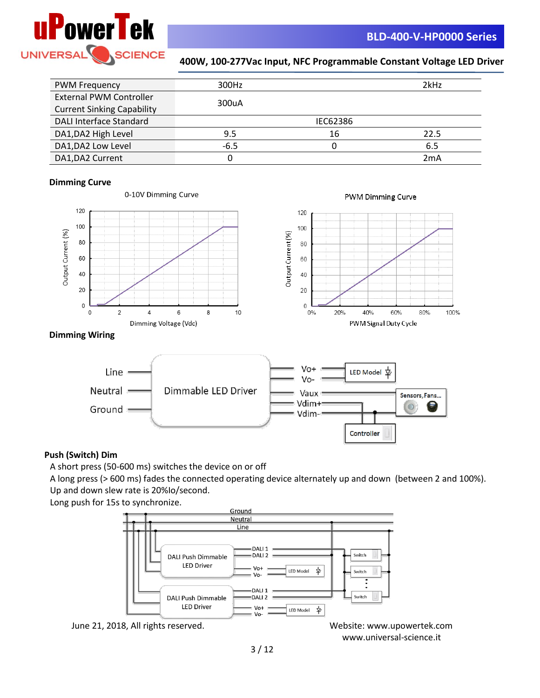

| <b>PWM Frequency</b>              | 300Hz  |          | 2kHz |
|-----------------------------------|--------|----------|------|
| <b>External PWM Controller</b>    |        |          |      |
| <b>Current Sinking Capability</b> | 300uA  |          |      |
| <b>DALI Interface Standard</b>    |        | IEC62386 |      |
| DA1, DA2 High Level               | 9.5    | 16       | 22.5 |
| DA1, DA2 Low Level                | $-6.5$ |          | 6.5  |
| DA1, DA2 Current                  | 0      |          | 2mA  |

#### **Dimming Curve**







#### **Dimming Wiring**



### **Push (Switch) Dim**

A short press (50-600 ms) switches the device on or off

A long press (> 600 ms) fades the connected operating device alternately up and down (between 2 and 100%). Up and down slew rate is 20%Io/second.

Long push for 15s to synchronize.



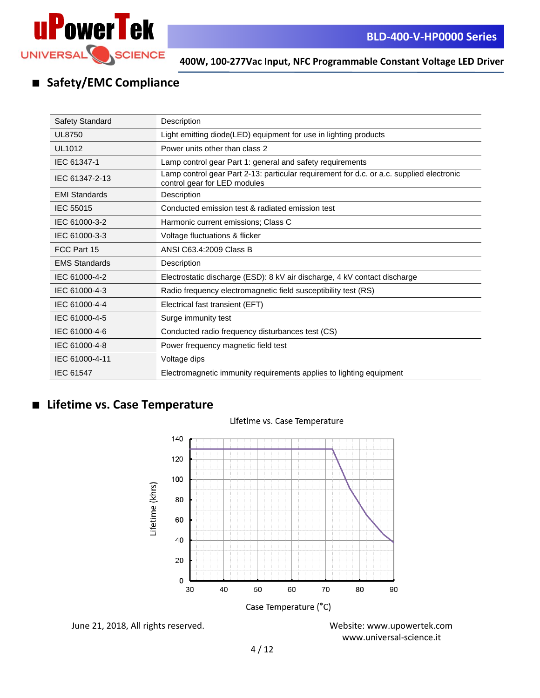

## ■ **Safety/EMC Compliance**

| <b>Safety Standard</b> | Description                                                                                                              |
|------------------------|--------------------------------------------------------------------------------------------------------------------------|
| <b>UL8750</b>          | Light emitting diode(LED) equipment for use in lighting products                                                         |
| UL1012                 | Power units other than class 2                                                                                           |
| IEC 61347-1            | Lamp control gear Part 1: general and safety requirements                                                                |
| IEC 61347-2-13         | Lamp control gear Part 2-13: particular requirement for d.c. or a.c. supplied electronic<br>control gear for LED modules |
| <b>EMI Standards</b>   | Description                                                                                                              |
| <b>IEC 55015</b>       | Conducted emission test & radiated emission test                                                                         |
| IEC 61000-3-2          | Harmonic current emissions; Class C                                                                                      |
| IEC 61000-3-3          | Voltage fluctuations & flicker                                                                                           |
| FCC Part 15            | ANSI C63.4:2009 Class B                                                                                                  |
| <b>EMS Standards</b>   | Description                                                                                                              |
| IEC 61000-4-2          | Electrostatic discharge (ESD): 8 kV air discharge, 4 kV contact discharge                                                |
| IEC 61000-4-3          | Radio frequency electromagnetic field susceptibility test (RS)                                                           |
| IEC 61000-4-4          | Electrical fast transient (EFT)                                                                                          |
| IEC 61000-4-5          | Surge immunity test                                                                                                      |
| IEC 61000-4-6          | Conducted radio frequency disturbances test (CS)                                                                         |
| IEC 61000-4-8          | Power frequency magnetic field test                                                                                      |
| IEC 61000-4-11         | Voltage dips                                                                                                             |
| IEC 61547              | Electromagnetic immunity requirements applies to lighting equipment                                                      |

## ■ **Lifetime vs. Case Temperature**

### Lifetime vs. Case Temperature



June 21, 2018, All rights reserved. Website: [www.upowertek.com](http://www.upowertek.com/)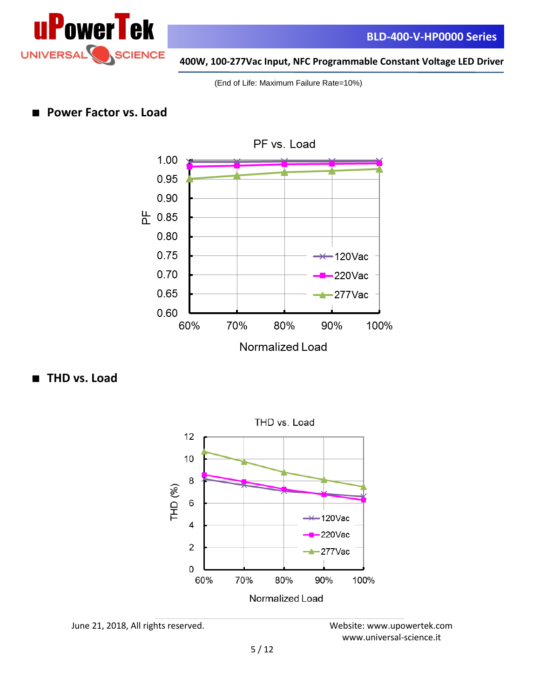

(End of Life: Maximum Failure Rate=10%)



## ■ **Power Factor vs. Load**

■ **THD vs. Load**



June 21, 2018, All rights reserved. Website: [www.upowertek.com](http://www.upowertek.com/)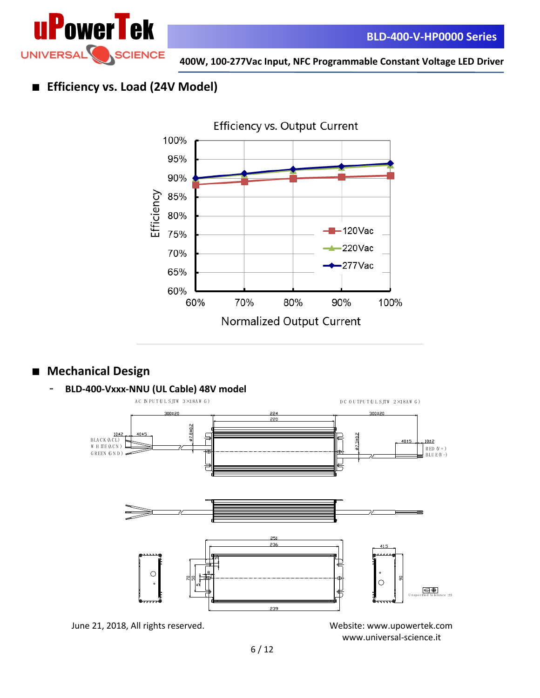

## ■ **Efficiency vs. Load (24V Model)**



## ■ **Mechanical Design**





June 21, 2018, All rights reserved. Website: [www.upowertek.com](http://www.upowertek.com/)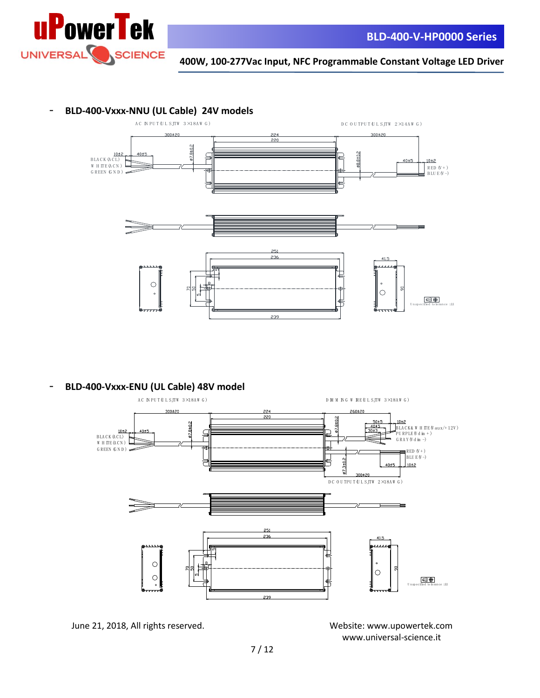

## - **BLD-400-Vxxx-NNU (UL Cable) 24V models**



- **BLD-400-Vxxx-ENU (UL Cable) 48V model**



June 21, 2018, All rights reserved. Website: [www.upowertek.com](http://www.upowertek.com/)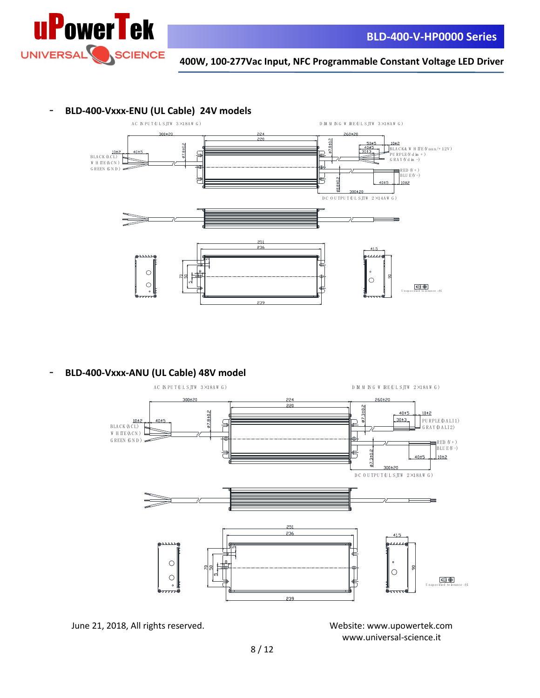

## - **BLD-400-Vxxx-ENU (UL Cable) 24V models**



- **BLD-400-Vxxx-ANU (UL Cable) 48V model**



June 21, 2018, All rights reserved. Website: [www.upowertek.com](http://www.upowertek.com/)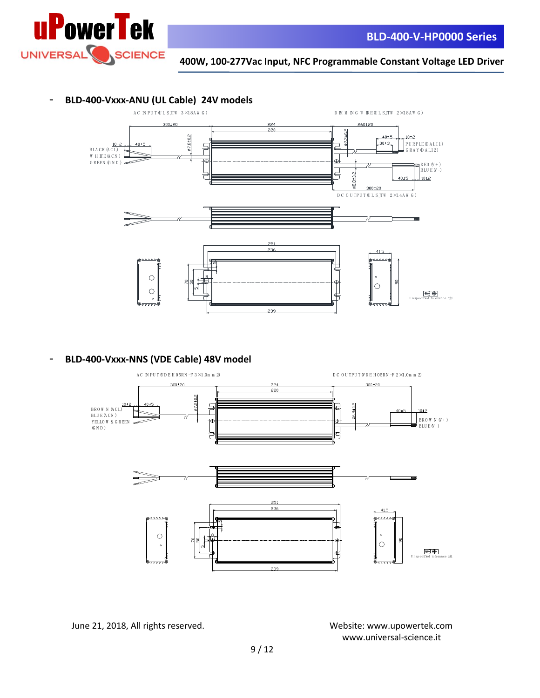

### - **BLD-400-Vxxx-ANU (UL Cable) 24V models**



- **BLD-400-Vxxx-NNS (VDE Cable) 48V model**



June 21, 2018, All rights reserved. Website: [www.upowertek.com](http://www.upowertek.com/)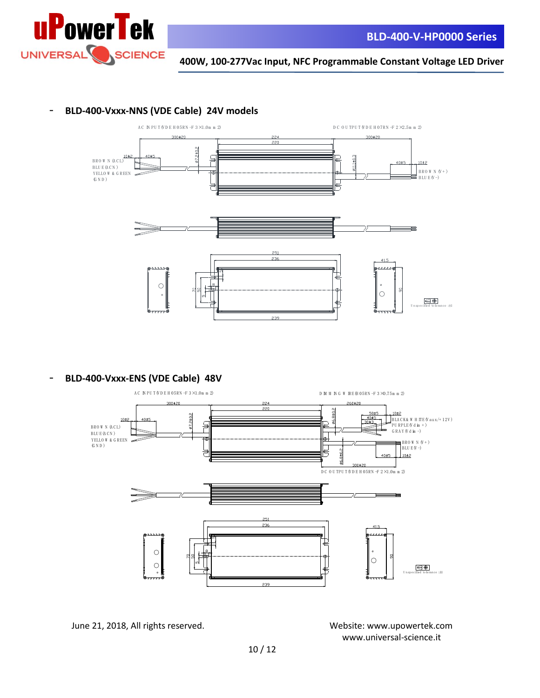

## - **BLD-400-Vxxx-NNS (VDE Cable) 24V models**



- **BLD-400-Vxxx-ENS (VDE Cable) 48V**



June 21, 2018, All rights reserved. Website: [www.upowertek.com](http://www.upowertek.com/)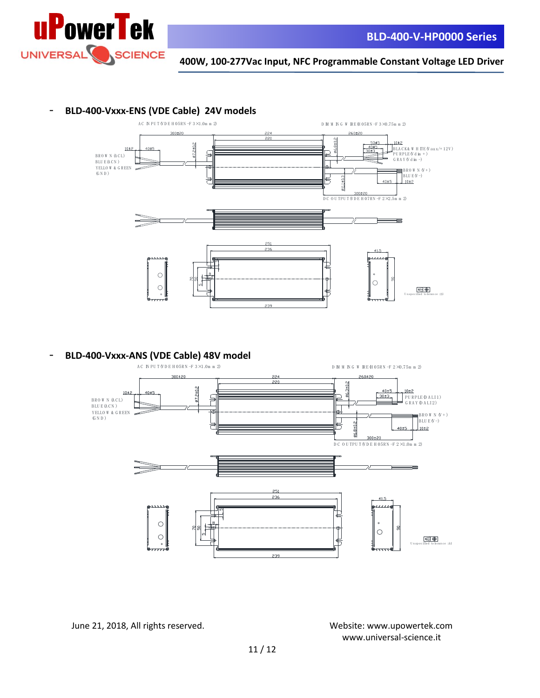

#### - **BLD-400-Vxxx-ENS (VDE Cable) 24V models**



- **BLD-400-Vxxx-ANS (VDE Cable) 48V model**



June 21, 2018, All rights reserved. Website: [www.upowertek.com](http://www.upowertek.com/)